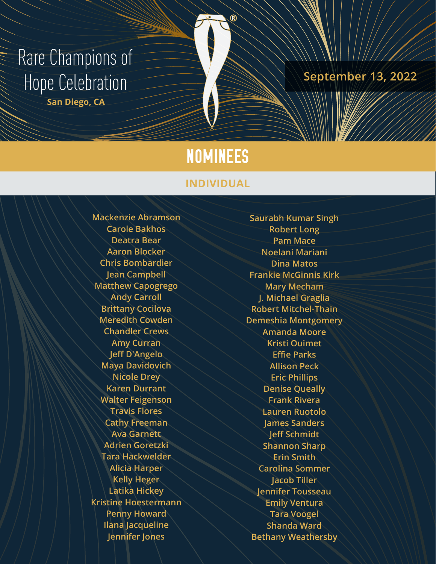# Rare Champions of Hope Celebration **September 13, 2022**

**San Diego, CA**

## NOMINEES

#### **INDIVIDUAL**

**Mackenzie Abramson Carole Bakhos Deatra Bear Aaron Blocker Chris Bombardier Jean Campbell Matthew Capogrego Andy Carroll Brittany Cocilova Meredith Cowden Chandler Crews Amy Curran Jeff D'Angelo Maya Davidovich Nicole Drey Karen Durrant Walter Feigenson Travis Flores Cathy Freeman Ava Garnett Adrien Goretzki Tara Hackwelder Alicia Harper Kelly Heger Latika Hickey Kristine Hoestermann Penny Howard Ilana Jacqueline Jennifer Jones**

**Saurabh Kumar Singh Robert Long Pam Mace Noelani Mariani Dina Matos Frankie McGinnis Kirk Mary Mecham J. Michael Graglia Robert Mitchel-Thain Demeshia Montgomery Amanda Moore Kristi Ouimet Effie Parks Allison Peck Eric Phillips Denise Queally Frank Rivera Lauren Ruotolo James Sanders Jeff Schmidt Shannon Sharp Erin Smith Carolina Sommer Jacob Tiller Jennifer Tousseau Emily Ventura Tara Voogel Shanda Ward Bethany Weathersby**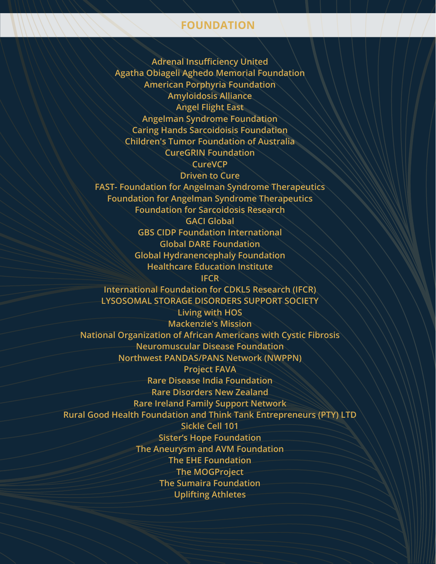#### **FOUNDATION**

**Adrenal Insufficiency United Agatha Obiageli Aghedo Memorial Foundation American Porphyria Foundation Amyloidosis Alliance Angel Flight East Angelman Syndrome Foundation Caring Hands Sarcoidoisis Foundation Children's Tumor Foundation of Australia CureGRIN Foundation CureVCP**

**Driven to Cure FAST- Foundation for Angelman Syndrome Therapeutics Foundation for Angelman Syndrome Therapeutics Foundation for Sarcoidosis Research GACI Global GBS CIDP Foundation International Global DARE Foundation**

> **Global Hydranencephaly Foundation Healthcare Education Institute**

**IFCR International Foundation for CDKL5 Research (IFCR) LYSOSOMAL STORAGE DISORDERS SUPPORT SOCIETY Living with HOS**

**Mackenzie's Mission National Organization of African Americans with Cystic Fibrosis Neuromuscular Disease Foundation Northwest PANDAS/PANS Network (NWPPN) Project FAVA Rare Disease India Foundation Rare Disorders New Zealand Rare Ireland Family Support Network Rural Good Health Foundation and Think Tank Entrepreneurs (PTY) LTD Sickle Cell 101 Sister's Hope Foundation The Aneurysm and AVM Foundation**

**The EHE Foundation The MOGProject The Sumaira Foundation**

**Uplifting Athletes**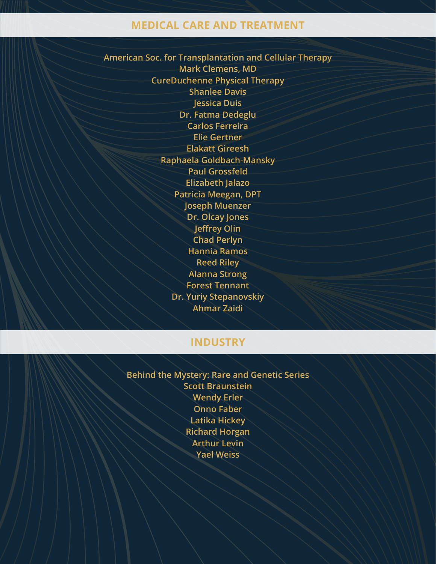#### **MEDICAL CARE AND TREATMENT**

**American Soc. for Transplantation and Cellular Therapy Mark Clemens, MD CureDuchenne Physical Therapy Shanlee Davis Jessica Duis Dr. Fatma Dedeglu Carlos Ferreira Elie Gertner Elakatt Gireesh Raphaela Goldbach-Mansky Paul Grossfeld Elizabeth Jalazo Patricia Meegan, DPT Joseph Muenzer Dr. Olcay Jones Jeffrey Olin Chad Perlyn Hannia Ramos Reed Riley Alanna Strong Forest Tennant Dr. Yuriy Stepanovskiy Ahmar Zaidi**

### **INDUSTRY**

**Behind the Mystery: Rare and Genetic Series Scott Braunstein Wendy Erler Onno Faber Latika Hickey Richard Horgan Arthur Levin Yael Weiss**